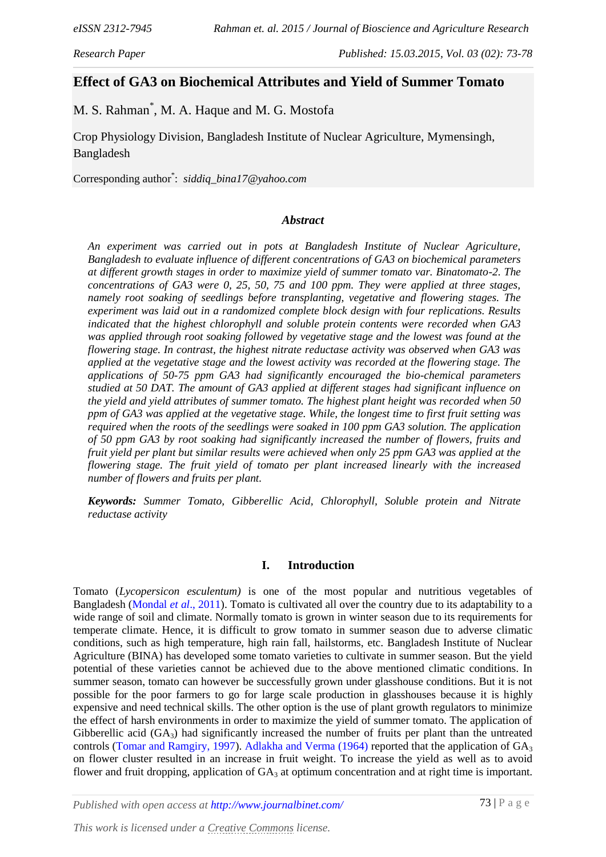### *Research Paper Published: 15.03.2015, Vol. 03 (02): 73-78*

# **Effect of GA3 on Biochemical Attributes and Yield of Summer Tomato**

M. S. Rahman\* , M. A. Haque and M. G. Mostofa

Crop Physiology Division, Bangladesh Institute of Nuclear Agriculture, Mymensingh, Bangladesh

Corresponding author\* : *siddiq\_bina17@yahoo.com*

#### *Abstract*

*An experiment was carried out in pots at Bangladesh Institute of Nuclear Agriculture, Bangladesh to evaluate influence of different concentrations of GA3 on biochemical parameters at different growth stages in order to maximize yield of summer tomato var. Binatomato-2. The concentrations of GA3 were 0, 25, 50, 75 and 100 ppm. They were applied at three stages, namely root soaking of seedlings before transplanting, vegetative and flowering stages. The experiment was laid out in a randomized complete block design with four replications. Results indicated that the highest chlorophyll and soluble protein contents were recorded when GA3 was applied through root soaking followed by vegetative stage and the lowest was found at the flowering stage. In contrast, the highest nitrate reductase activity was observed when GA3 was applied at the vegetative stage and the lowest activity was recorded at the flowering stage. The applications of 50-75 ppm GA3 had significantly encouraged the bio-chemical parameters studied at 50 DAT. The amount of GA3 applied at different stages had significant influence on the yield and yield attributes of summer tomato. The highest plant height was recorded when 50 ppm of GA3 was applied at the vegetative stage. While, the longest time to first fruit setting was required when the roots of the seedlings were soaked in 100 ppm GA3 solution. The application of 50 ppm GA3 by root soaking had significantly increased the number of flowers, fruits and fruit yield per plant but similar results were achieved when only 25 ppm GA3 was applied at the flowering stage. The fruit yield of tomato per plant increased linearly with the increased number of flowers and fruits per plant.*

*Keywords: Summer Tomato, Gibberellic Acid, Chlorophyll, Soluble protein and Nitrate reductase activity*

#### **I. Introduction**

Tomato (*Lycopersicon esculentum)* is one of the most popular and nutritious vegetables of Bangladesh [\(Mondal](#page-5-0) *et al*., 2011). Tomato is cultivated all over the country due to its adaptability to a wide range of soil and climate. Normally tomato is grown in winter season due to its requirements for temperate climate. Hence, it is difficult to grow tomato in summer season due to adverse climatic conditions, such as high temperature, high rain fall, hailstorms, etc. Bangladesh Institute of Nuclear Agriculture (BINA) has developed some tomato varieties to cultivate in summer season. But the yield potential of these varieties cannot be achieved due to the above mentioned climatic conditions. In summer season, tomato can however be successfully grown under glasshouse conditions. But it is not possible for the poor farmers to go for large scale production in glasshouses because it is highly expensive and need technical skills. The other option is the use of plant growth regulators to minimize the effect of harsh environments in order to maximize the yield of summer tomato. The application of Gibberellic acid  $(GA_3)$  had significantly increased the number of fruits per plant than the untreated controls [\(Tomar and Ramgiry, 1997\)](#page-5-1). [Adlakha and Verma \(1964\)](#page-5-2) reported that the application of  $GA_3$ on flower cluster resulted in an increase in fruit weight. To increase the yield as well as to avoid flower and fruit dropping, application of  $GA_3$  at optimum concentration and at right time is important.

*Published with open access at<http://www.journalbinet.com/>*

*This work is licensed unde[r a Creative Commons](http://creativecommons.org/licenses/by/4.0/) license.*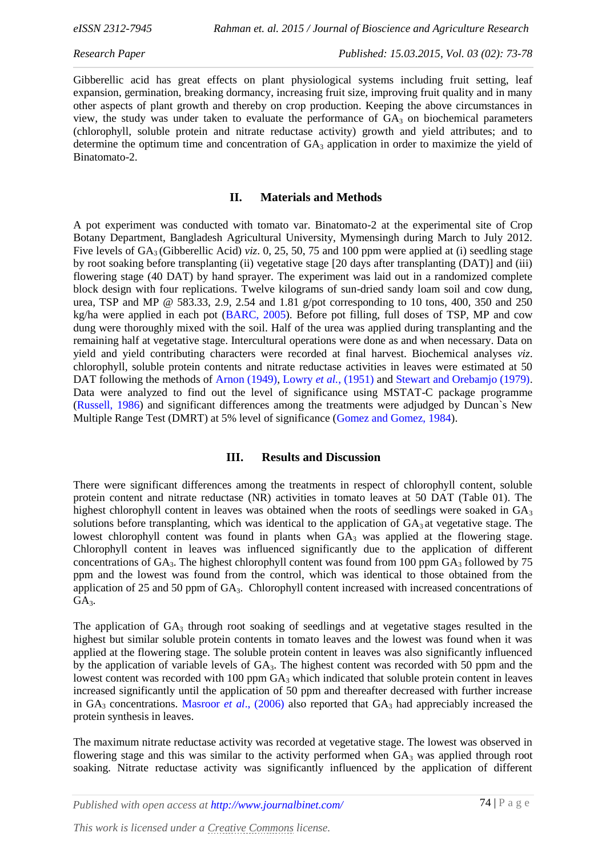Gibberellic acid has great effects on plant physiological systems including fruit setting, leaf expansion, germination, breaking dormancy, increasing fruit size, improving fruit quality and in many other aspects of plant growth and thereby on crop production. Keeping the above circumstances in view, the study was under taken to evaluate the performance of  $GA_3$  on biochemical parameters (chlorophyll, soluble protein and nitrate reductase activity) growth and yield attributes; and to determine the optimum time and concentration of  $GA_3$  application in order to maximize the yield of Binatomato-2.

### **II. Materials and Methods**

A pot experiment was conducted with tomato var. Binatomato-2 at the experimental site of Crop Botany Department, Bangladesh Agricultural University, Mymensingh during March to July 2012. Five levels of GA<sub>3</sub> (Gibberellic Acid) *viz*. 0, 25, 50, 75 and 100 ppm were applied at (i) seedling stage by root soaking before transplanting (ii) vegetative stage [20 days after transplanting (DAT)] and (iii) flowering stage (40 DAT) by hand sprayer. The experiment was laid out in a randomized complete block design with four replications. Twelve kilograms of sun-dried sandy loam soil and cow dung, urea, TSP and MP @ 583.33, 2.9, 2.54 and 1.81 g/pot corresponding to 10 tons, 400, 350 and 250 kg/ha were applied in each pot [\(BARC, 2005\)](#page-5-3). Before pot filling, full doses of TSP, MP and cow dung were thoroughly mixed with the soil. Half of the urea was applied during transplanting and the remaining half at vegetative stage. Intercultural operations were done as and when necessary. Data on yield and yield contributing characters were recorded at final harvest. Biochemical analyses *viz*. chlorophyll, soluble protein contents and nitrate reductase activities in leaves were estimated at 50 DAT following the methods of [Arnon \(1949\),](#page-5-4) [Lowry](#page-5-5) *et al.*, (1951) and [Stewart and Orebamjo \(1979\).](#page-5-6) Data were analyzed to find out the level of significance using MSTAT-C package programme [\(Russell, 1986\)](#page-5-7) and significant differences among the treatments were adjudged by Duncan`s New Multiple Range Test (DMRT) at 5% level of significance [\(Gomez and Gomez, 1984\)](#page-5-8).

### **III. Results and Discussion**

There were significant differences among the treatments in respect of chlorophyll content, soluble protein content and nitrate reductase (NR) activities in tomato leaves at 50 DAT (Table 01). The highest chlorophyll content in leaves was obtained when the roots of seedlings were soaked in  $GA_3$ solutions before transplanting, which was identical to the application of  $GA_3$  at vegetative stage. The lowest chlorophyll content was found in plants when  $G\overline{A}_3$  was applied at the flowering stage. Chlorophyll content in leaves was influenced significantly due to the application of different concentrations of  $GA_3$ . The highest chlorophyll content was found from 100 ppm  $GA_3$  followed by 75 ppm and the lowest was found from the control, which was identical to those obtained from the application of 25 and 50 ppm of  $GA_3$ . Chlorophyll content increased with increased concentrations of GA<sub>3</sub>.

The application of GA<sub>3</sub> through root soaking of seedlings and at vegetative stages resulted in the highest but similar soluble protein contents in tomato leaves and the lowest was found when it was applied at the flowering stage. The soluble protein content in leaves was also significantly influenced by the application of variable levels of  $GA_3$ . The highest content was recorded with 50 ppm and the lowest content was recorded with 100 ppm  $GA_3$  which indicated that soluble protein content in leaves increased significantly until the application of 50 ppm and thereafter decreased with further increase in GA<sub>3</sub> concentrations. [Masroor](#page-5-9) *et al.*, (2006) also reported that GA<sub>3</sub> had appreciably increased the protein synthesis in leaves.

The maximum nitrate reductase activity was recorded at vegetative stage. The lowest was observed in flowering stage and this was similar to the activity performed when  $GA_3$  was applied through root soaking. Nitrate reductase activity was significantly influenced by the application of different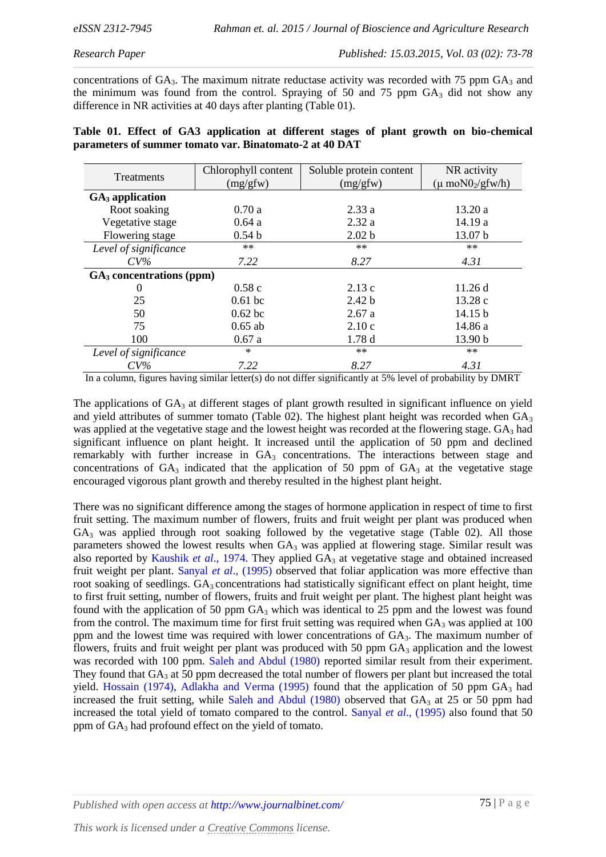concentrations of  $GA_3$ . The maximum nitrate reductase activity was recorded with 75 ppm  $GA_3$  and the minimum was found from the control. Spraying of 50 and 75 ppm  $GA_3$  did not show any difference in NR activities at 40 days after planting (Table 01).

|                                                         |  |  |  |  |  |  |  |  |  |  |  | Table 01. Effect of GA3 application at different stages of plant growth on bio-chemical |
|---------------------------------------------------------|--|--|--|--|--|--|--|--|--|--|--|-----------------------------------------------------------------------------------------|
| parameters of summer tomato var. Binatomato-2 at 40 DAT |  |  |  |  |  |  |  |  |  |  |  |                                                                                         |

| <b>Treatments</b>                    | Chlorophyll content | Soluble protein content | NR activity                         |  |  |
|--------------------------------------|---------------------|-------------------------|-------------------------------------|--|--|
|                                      | (mg/gfw)            | (mg/gfw)                | $(\mu \text{ moN0}_2/\text{gfw/h})$ |  |  |
| $GA3$ application                    |                     |                         |                                     |  |  |
| Root soaking                         | 0.70a               | 2.33a                   | 13.20a                              |  |  |
| Vegetative stage                     | 0.64a               | 2.32a                   | 14.19 a                             |  |  |
| Flowering stage                      | 0.54 <sub>b</sub>   | 2.02 <sub>b</sub>       | 13.07 b                             |  |  |
| Level of significance                | $***$               | $***$                   | $***$                               |  |  |
| $CV\%$                               | 7.22                | 8.27                    | 4.31                                |  |  |
| GA <sub>3</sub> concentrations (ppm) |                     |                         |                                     |  |  |
| $\Omega$                             | 0.58c               | 2.13c                   | 11.26 d                             |  |  |
| 25                                   | $0.61$ bc           | 2.42 <sub>b</sub>       | 13.28 c                             |  |  |
| 50                                   | $0.62$ bc           | 2.67a                   | 14.15 b                             |  |  |
| 75                                   | $0.65$ ab           | 2.10c                   | 14.86 a                             |  |  |
| 100                                  | 0.67a               | 1.78d                   | 13.90 b                             |  |  |
| Level of significance                | $\ast$              | $***$                   | $***$                               |  |  |
| $CV\%$                               | 7.22                | 8.27                    | 4.31                                |  |  |

In a column, figures having similar letter(s) do not differ significantly at 5% level of probability by DMRT

The applications of  $GA_3$  at different stages of plant growth resulted in significant influence on yield and yield attributes of summer tomato (Table 02). The highest plant height was recorded when  $GA_3$ was applied at the vegetative stage and the lowest height was recorded at the flowering stage.  $GA_3$  had significant influence on plant height. It increased until the application of 50 ppm and declined remarkably with further increase in GA<sub>3</sub> concentrations. The interactions between stage and concentrations of  $GA_3$  indicated that the application of 50 ppm of  $GA_3$  at the vegetative stage encouraged vigorous plant growth and thereby resulted in the highest plant height.

There was no significant difference among the stages of hormone application in respect of time to first fruit setting. The maximum number of flowers, fruits and fruit weight per plant was produced when  $GA<sub>3</sub>$  was applied through root soaking followed by the vegetative stage (Table 02). All those parameters showed the lowest results when  $GA_3$  was applied at flowering stage. Similar result was also reported by [Kaushik](#page-5-10) *et al.*, 1974. They applied  $GA_3$  at vegetative stage and obtained increased fruit weight per plant. [Sanyal](#page-5-11) *et al*., (1995) observed that foliar application was more effective than root soaking of seedlings. GA<sub>3</sub> concentrations had statistically significant effect on plant height, time to first fruit setting, number of flowers, fruits and fruit weight per plant. The highest plant height was found with the application of 50 ppm  $GA_3$  which was identical to 25 ppm and the lowest was found from the control. The maximum time for first fruit setting was required when  $GA_3$  was applied at 100 ppm and the lowest time was required with lower concentrations of  $GA_3$ . The maximum number of flowers, fruits and fruit weight per plant was produced with 50 ppm  $GA_3$  application and the lowest was recorded with 100 ppm. [Saleh and Abdul \(1980\)](#page-5-12) reported similar result from their experiment. They found that  $GA_3$  at 50 ppm decreased the total number of flowers per plant but increased the total yield. [Hossain \(1974\),](#page-5-13) [Adlakha and Verma \(1995\)](#page-5-2) found that the application of 50 ppm  $GA_3$  had increased the fruit setting, while [Saleh and Abdul \(1980\)](#page-5-12) observed that  $GA_3$  at 25 or 50 ppm had increased the total yield of tomato compared to the control. [Sanyal](#page-5-11) *et al*., (1995) also found that 50 ppm of  $GA_3$  had profound effect on the yield of tomato.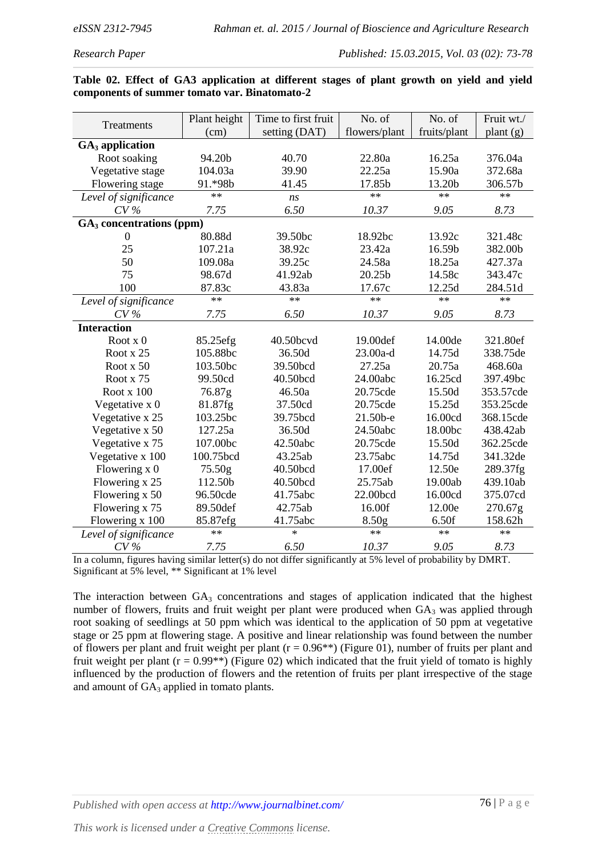*Research Paper Published: 15.03.2015, Vol. 03 (02): 73-78*

|  | Table 02. Effect of GA3 application at different stages of plant growth on yield and yield |  |  |  |  |  |
|--|--------------------------------------------------------------------------------------------|--|--|--|--|--|
|  | components of summer tomato var. Binatomato-2                                              |  |  |  |  |  |

|                                      | Plant height | Time to first fruit | No. of            | No. of       | Fruit wt./ |
|--------------------------------------|--------------|---------------------|-------------------|--------------|------------|
| Treatments                           | (cm)         | setting (DAT)       | flowers/plant     | fruits/plant | plant (g)  |
| $GA3$ application                    |              |                     |                   |              |            |
| Root soaking                         | 94.20b       | 40.70               | 22.80a            | 16.25a       | 376.04a    |
| Vegetative stage                     | 104.03a      | 39.90               | 22.25a            | 15.90a       | 372.68a    |
| Flowering stage                      | 91.*98b      | 41.45               | 17.85b            | 13.20b       | 306.57b    |
| Level of significance                | $**$         | ns                  | $***$             | $**$         | $**$       |
| $CV\%$                               | 7.75         | 6.50                | 10.37             | 9.05         | 8.73       |
| GA <sub>3</sub> concentrations (ppm) |              |                     |                   |              |            |
| $\theta$                             | 80.88d       | 39.50bc             | 18.92bc           | 13.92c       | 321.48c    |
| 25                                   | 107.21a      | 38.92c              | 23.42a            | 16.59b       | 382.00b    |
| 50                                   | 109.08a      | 39.25c              | 24.58a            | 18.25a       | 427.37a    |
| 75                                   | 98.67d       | 41.92ab             | 20.25b            | 14.58c       | 343.47c    |
| 100                                  | 87.83c       | 43.83a              | 17.67c            | 12.25d       | 284.51d    |
| Level of significance                | $**$         | $**$                | $***$             | $***$        | $**$       |
| $CV\%$                               | 7.75         | 6.50                | 10.37             | 9.05         | 8.73       |
| <b>Interaction</b>                   |              |                     |                   |              |            |
| Root $x$ 0                           | 85.25efg     | 40.50bcvd           | 19.00def          | 14.00de      | 321.80ef   |
| Root x 25                            | 105.88bc     | 36.50d              | 23.00a-d          | 14.75d       | 338.75de   |
| Root x 50                            | 103.50bc     | 39.50bcd            | 27.25a            | 20.75a       | 468.60a    |
| Root x 75                            | 99.50cd      | 40.50bcd            | 24.00abc          | 16.25cd      | 397.49bc   |
| Root x 100                           | 76.87g       | 46.50a              | 20.75cde          | 15.50d       | 353.57cde  |
| Vegetative x 0                       | 81.87fg      | 37.50cd             | 20.75cde          | 15.25d       | 353.25cde  |
| Vegetative x 25                      | 103.25bc     | 39.75bcd            | 21.50b-e          | 16.00cd      | 368.15cde  |
| Vegetative x 50                      | 127.25a      | 36.50d              | 24.50abc          | 18.00bc      | 438.42ab   |
| Vegetative x 75                      | 107.00bc     | 42.50abc            | 20.75cde          | 15.50d       | 362.25cde  |
| Vegetative x 100                     | 100.75bcd    | 43.25ab             | 23.75abc          | 14.75d       | 341.32de   |
| Flowering $x$ 0                      | 75.50g       | 40.50bcd            | 17.00ef           | 12.50e       | 289.37fg   |
| Flowering x 25                       | 112.50b      | 40.50bcd            | 25.75ab           | 19.00ab      | 439.10ab   |
| Flowering x 50                       | 96.50cde     | 41.75abc            | 22.00bcd          | 16.00cd      | 375.07cd   |
| Flowering x 75                       | 89.50def     | 42.75ab             | 16.00f            | 12.00e       | 270.67g    |
| Flowering x 100                      | 85.87efg     | 41.75abc            | 8.50 <sub>g</sub> | 6.50f        | 158.62h    |
| Level of significance                | $**$         | $\ast$              | $***$             | $***$        | $**$       |
| $CV\%$                               | 7.75         | 6.50                | 10.37             | 9.05         | 8.73       |

In a column, figures having similar letter(s) do not differ significantly at 5% level of probability by DMRT. Significant at 5% level, \*\* Significant at 1% level

The interaction between  $GA_3$  concentrations and stages of application indicated that the highest number of flowers, fruits and fruit weight per plant were produced when  $GA_3$  was applied through root soaking of seedlings at 50 ppm which was identical to the application of 50 ppm at vegetative stage or 25 ppm at flowering stage. A positive and linear relationship was found between the number of flowers per plant and fruit weight per plant ( $r = 0.96$ \*\*) (Figure 01), number of fruits per plant and fruit weight per plant ( $r = 0.99$ \*\*) (Figure 02) which indicated that the fruit yield of tomato is highly influenced by the production of flowers and the retention of fruits per plant irrespective of the stage and amount of  $GA_3$  applied in tomato plants.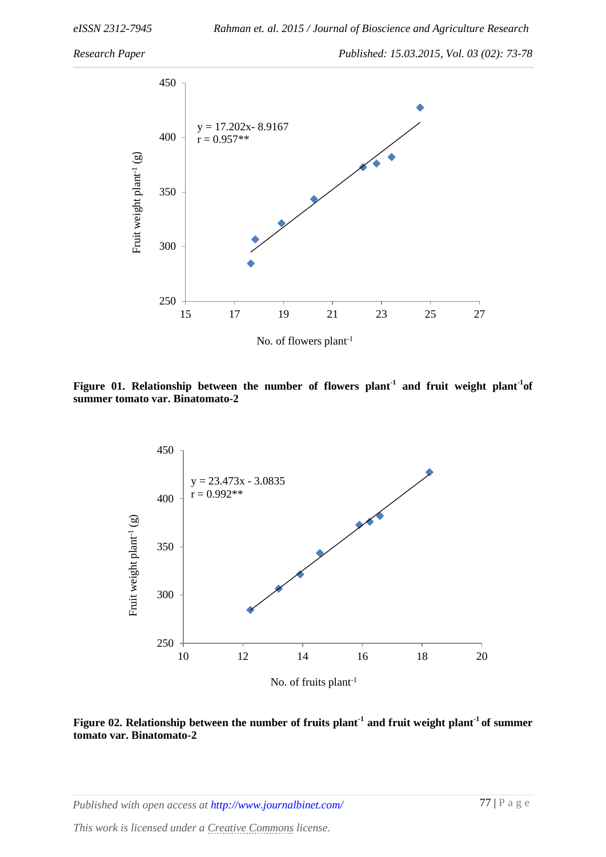*Research Paper Published: 15.03.2015, Vol. 03 (02): 73-78*



Figure 01. Relationship between the number of flowers plant<sup>-1</sup> and fruit weight plant<sup>-1</sup> of **summer tomato var. Binatomato-2**